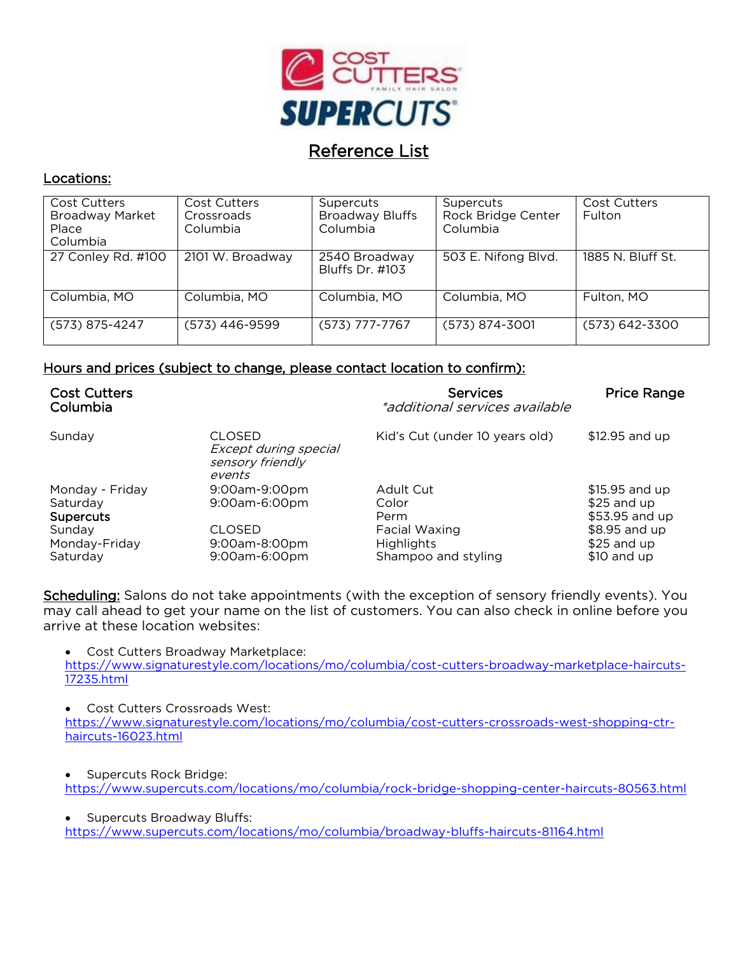

# Reference List

### Locations:

| <b>Cost Cutters</b><br><b>Broadway Market</b><br>Place<br>Columbia | Cost Cutters<br>Crossroads<br>Columbia | Supercuts<br><b>Broadway Bluffs</b><br>Columbia | Supercuts<br>Rock Bridge Center<br>Columbia | <b>Cost Cutters</b><br><b>Fulton</b> |
|--------------------------------------------------------------------|----------------------------------------|-------------------------------------------------|---------------------------------------------|--------------------------------------|
| 27 Conley Rd. #100                                                 | 2101 W. Broadway                       | 2540 Broadway<br>Bluffs Dr. #103                | 503 E. Nifong Blvd.                         | 1885 N. Bluff St.                    |
| Columbia, MO                                                       | Columbia, MO                           | Columbia, MO                                    | Columbia, MO                                | Fulton, MO                           |
| (573) 875-4247                                                     | $(573)$ 446-9599                       | $(573)$ 777-7767                                | (573) 874-3001                              | (573) 642-3300                       |

#### Hours and prices (subject to change, please contact location to confirm):

| <b>Cost Cutters</b><br>Columbia                                                        |                                                                            | <b>Services</b><br>*additional services available                                       | <b>Price Range</b>                                                                               |
|----------------------------------------------------------------------------------------|----------------------------------------------------------------------------|-----------------------------------------------------------------------------------------|--------------------------------------------------------------------------------------------------|
| Sunday                                                                                 | <b>CLOSED</b><br>Except during special<br>sensory friendly<br>events       | Kid's Cut (under 10 years old)                                                          | \$12.95 and up                                                                                   |
| Monday - Friday<br>Saturday<br><b>Supercuts</b><br>Sunday<br>Monday-Friday<br>Saturday | 9:00am-9:00pm<br>9:00am-6:00pm<br>CLOSED<br>9:00am-8:00pm<br>9:00am-6:00pm | Adult Cut<br>Color<br>Perm<br>Facial Waxing<br><b>Highlights</b><br>Shampoo and styling | \$15.95 and up<br>$$25$ and up<br>\$53.95 and up<br>\$8.95 and up<br>$$25$ and up<br>\$10 and up |

Scheduling: Salons do not take appointments (with the exception of sensory friendly events). You may call ahead to get your name on the list of customers. You can also check in online before you arrive at these location websites:

 Cost Cutters Broadway Marketplace: [https://www.signaturestyle.com/locations/mo/columbia/cost-cutters-broadway-marketplace-haircuts-](https://www.signaturestyle.com/locations/mo/columbia/cost-cutters-broadway-marketplace-haircuts-17235.html)

[17235.html](https://www.signaturestyle.com/locations/mo/columbia/cost-cutters-broadway-marketplace-haircuts-17235.html)

 Cost Cutters Crossroads West: [https://www.signaturestyle.com/locations/mo/columbia/cost-cutters-crossroads-west-shopping-ctr](https://www.signaturestyle.com/locations/mo/columbia/cost-cutters-crossroads-west-shopping-ctr-haircuts-16023.html)[haircuts-16023.html](https://www.signaturestyle.com/locations/mo/columbia/cost-cutters-crossroads-west-shopping-ctr-haircuts-16023.html)

 Supercuts Rock Bridge: <https://www.supercuts.com/locations/mo/columbia/rock-bridge-shopping-center-haircuts-80563.html>

 Supercuts Broadway Bluffs: <https://www.supercuts.com/locations/mo/columbia/broadway-bluffs-haircuts-81164.html>